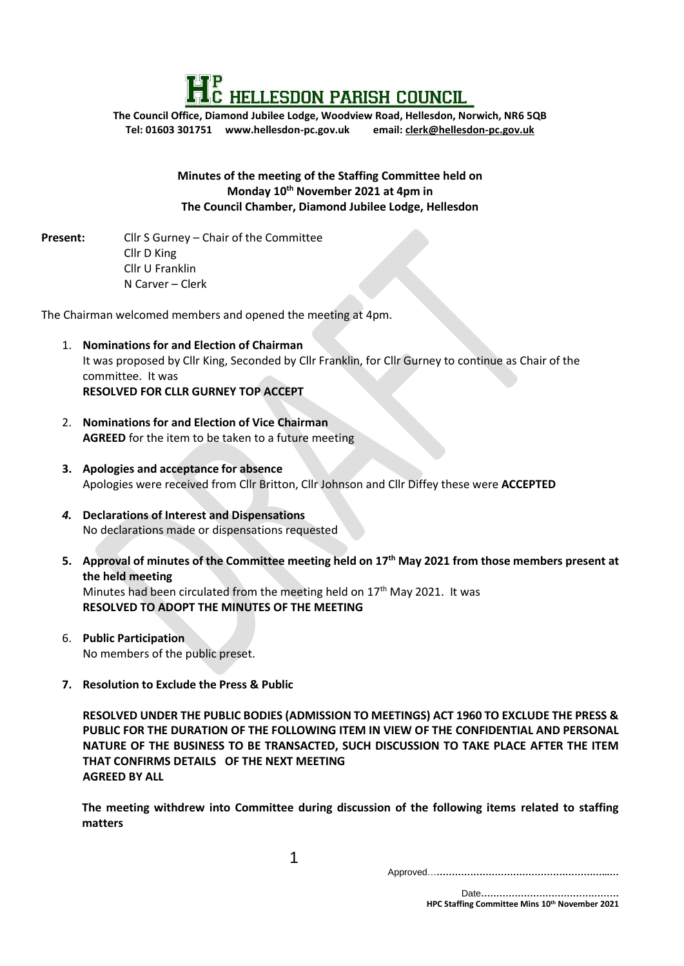

**The Council Office, Diamond Jubilee Lodge, Woodview Road, Hellesdon, Norwich, NR6 5QB Tel: 01603 301751 www.hellesdon-pc.gov.uk email: clerk[@hellesdon-pc.gov.uk](mailto:hellesdonpc@tiscali.co.uk)**

### **Minutes of the meeting of the Staffing Committee held on Monday 10th November 2021 at 4pm in The Council Chamber, Diamond Jubilee Lodge, Hellesdon**

**Present:** Cllr S Gurney – Chair of the Committee Cllr D King Cllr U Franklin N Carver – Clerk

The Chairman welcomed members and opened the meeting at 4pm.

- 1. **Nominations for and Election of Chairman** It was proposed by Cllr King, Seconded by Cllr Franklin, for Cllr Gurney to continue as Chair of the committee. It was **RESOLVED FOR CLLR GURNEY TOP ACCEPT**
- 2. **Nominations for and Election of Vice Chairman AGREED** for the item to be taken to a future meeting
- **3. Apologies and acceptance for absence** Apologies were received from Cllr Britton, Cllr Johnson and Cllr Diffey these were **ACCEPTED**
- *4.* **Declarations of Interest and Dispensations** No declarations made or dispensations requested
- **5. Approval of minutes of the Committee meeting held on 17th May 2021 from those members present at the held meeting** Minutes had been circulated from the meeting held on  $17<sup>th</sup>$  May 2021. It was **RESOLVED TO ADOPT THE MINUTES OF THE MEETING**
- 6. **Public Participation** No members of the public preset.
- **7. Resolution to Exclude the Press & Public**

**RESOLVED UNDER THE PUBLIC BODIES (ADMISSION TO MEETINGS) ACT 1960 TO EXCLUDE THE PRESS & PUBLIC FOR THE DURATION OF THE FOLLOWING ITEM IN VIEW OF THE CONFIDENTIAL AND PERSONAL NATURE OF THE BUSINESS TO BE TRANSACTED, SUCH DISCUSSION TO TAKE PLACE AFTER THE ITEM THAT CONFIRMS DETAILS OF THE NEXT MEETING AGREED BY ALL** 

**The meeting withdrew into Committee during discussion of the following items related to staffing matters** 

1

Approved…**………………………………………………...…**

 Date**……………………………………… HPC Staffing Committee Mins 10th November <sup>2021</sup>**